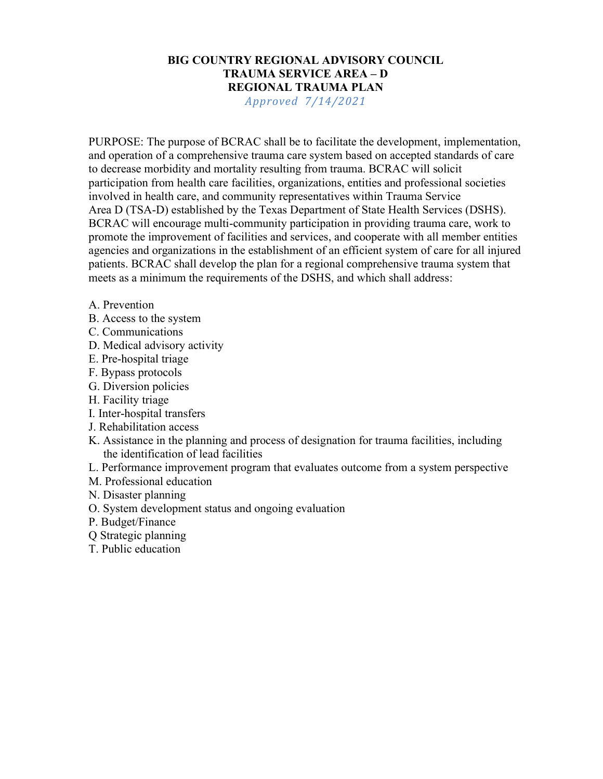# BIG COUNTRY REGIONAL ADVISORY COUNCIL TRAUMA SERVICE AREA – D REGIONAL TRAUMA PLAN

Approved 7/14/2021

PURPOSE: The purpose of BCRAC shall be to facilitate the development, implementation, and operation of a comprehensive trauma care system based on accepted standards of care to decrease morbidity and mortality resulting from trauma. BCRAC will solicit participation from health care facilities, organizations, entities and professional societies involved in health care, and community representatives within Trauma Service Area D (TSA-D) established by the Texas Department of State Health Services (DSHS). BCRAC will encourage multi-community participation in providing trauma care, work to promote the improvement of facilities and services, and cooperate with all member entities agencies and organizations in the establishment of an efficient system of care for all injured patients. BCRAC shall develop the plan for a regional comprehensive trauma system that meets as a minimum the requirements of the DSHS, and which shall address:

- A. Prevention
- B. Access to the system
- C. Communications
- D. Medical advisory activity
- E. Pre-hospital triage
- F. Bypass protocols
- G. Diversion policies
- H. Facility triage
- I. Inter-hospital transfers
- J. Rehabilitation access
- K. Assistance in the planning and process of designation for trauma facilities, including the identification of lead facilities
- L. Performance improvement program that evaluates outcome from a system perspective
- M. Professional education
- N. Disaster planning
- O. System development status and ongoing evaluation
- P. Budget/Finance
- Q Strategic planning
- T. Public education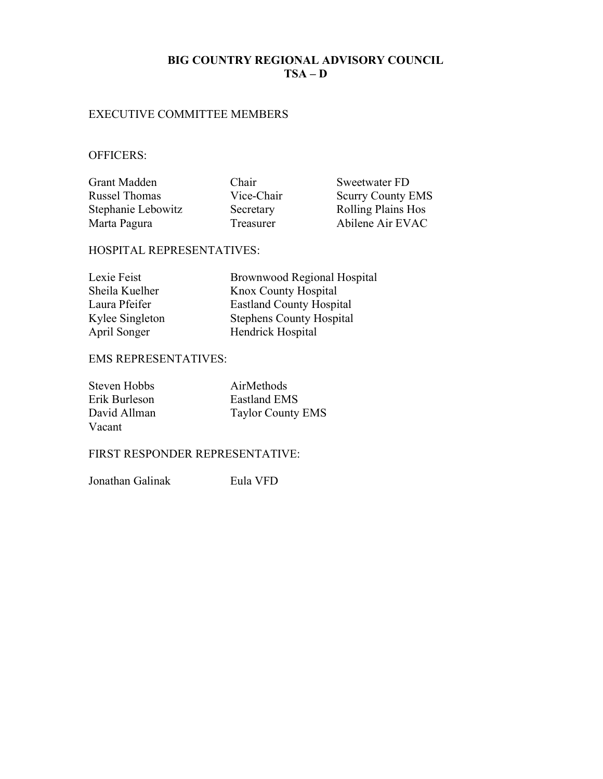### BIG COUNTRY REGIONAL ADVISORY COUNCIL  $TSA - D$

### EXECUTIVE COMMITTEE MEMBERS

### OFFICERS:

Grant Madden Chair Sweetwater FD Russel Thomas Vice-Chair Scurry County EMS Stephanie Lebowitz Secretary Rolling Plains Hos<br>
Marta Pagura Treasurer Abilene Air EVAC

Treasurer Abilene Air EVAC

### HOSPITAL REPRESENTATIVES:

| Lexie Feist     | <b>Brownwood Regional Hospital</b> |
|-----------------|------------------------------------|
| Sheila Kuelher  | Knox County Hospital               |
| Laura Pfeifer   | <b>Eastland County Hospital</b>    |
| Kylee Singleton | <b>Stephens County Hospital</b>    |
| April Songer    | Hendrick Hospital                  |

## EMS REPRESENTATIVES:

| Steven Hobbs  | AirMethods               |
|---------------|--------------------------|
| Erik Burleson | Eastland EMS             |
| David Allman  | <b>Taylor County EMS</b> |
| Vacant        |                          |

### FIRST RESPONDER REPRESENTATIVE:

Jonathan Galinak Eula VFD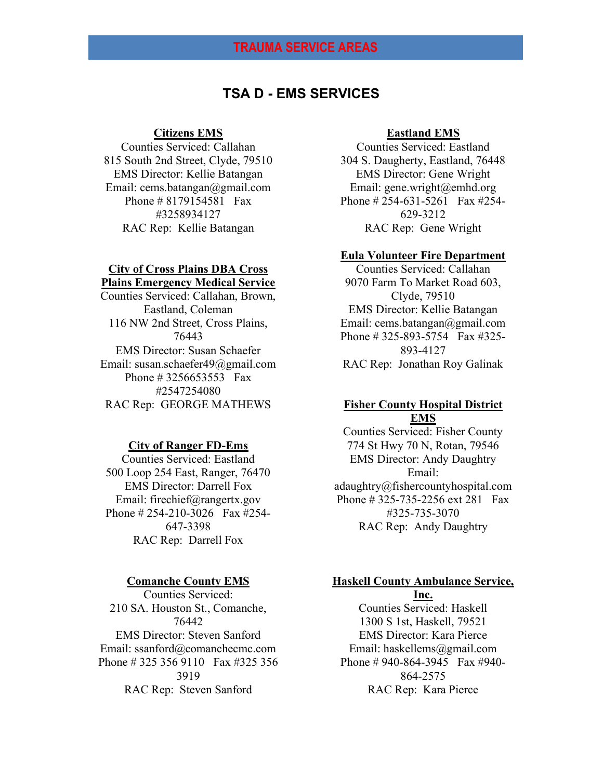# TSA D - EMS SERVICES

#### Citizens EMS

Counties Serviced: Callahan 815 South 2nd Street, Clyde, 79510 EMS Director: Kellie Batangan Email: cems.batangan@gmail.com Phone # 8179154581 Fax #3258934127 RAC Rep: Kellie Batangan

### City of Cross Plains DBA Cross Plains Emergency Medical Service

Counties Serviced: Callahan, Brown, Eastland, Coleman 116 NW 2nd Street, Cross Plains, 76443 EMS Director: Susan Schaefer Email: susan.schaefer49@gmail.com Phone # 3256653553 Fax #2547254080 RAC Rep: GEORGE MATHEWS

#### City of Ranger FD-Ems

Counties Serviced: Eastland 500 Loop 254 East, Ranger, 76470 EMS Director: Darrell Fox Email: firechief@rangertx.gov Phone # 254-210-3026 Fax #254- 647-3398 RAC Rep: Darrell Fox

#### Comanche County EMS

Counties Serviced: 210 SA. Houston St., Comanche, 76442 EMS Director: Steven Sanford Email: ssanford@comanchecmc.com Phone # 325 356 9110 Fax #325 356 3919 RAC Rep: Steven Sanford

#### Eastland EMS

Counties Serviced: Eastland 304 S. Daugherty, Eastland, 76448 EMS Director: Gene Wright Email: gene.wright@emhd.org Phone # 254-631-5261 Fax #254- 629-3212 RAC Rep: Gene Wright

#### Eula Volunteer Fire Department

Counties Serviced: Callahan 9070 Farm To Market Road 603, Clyde, 79510 EMS Director: Kellie Batangan Email: cems.batangan@gmail.com Phone # 325-893-5754 Fax #325- 893-4127 RAC Rep: Jonathan Roy Galinak

### Fisher County Hospital District EMS

Counties Serviced: Fisher County 774 St Hwy 70 N, Rotan, 79546 EMS Director: Andy Daughtry Email: adaughtry@fishercountyhospital.com Phone # 325-735-2256 ext 281 Fax #325-735-3070 RAC Rep: Andy Daughtry

### Haskell County Ambulance Service, Inc.

Counties Serviced: Haskell 1300 S 1st, Haskell, 79521 EMS Director: Kara Pierce Email: haskellems@gmail.com Phone # 940-864-3945 Fax #940- 864-2575 RAC Rep: Kara Pierce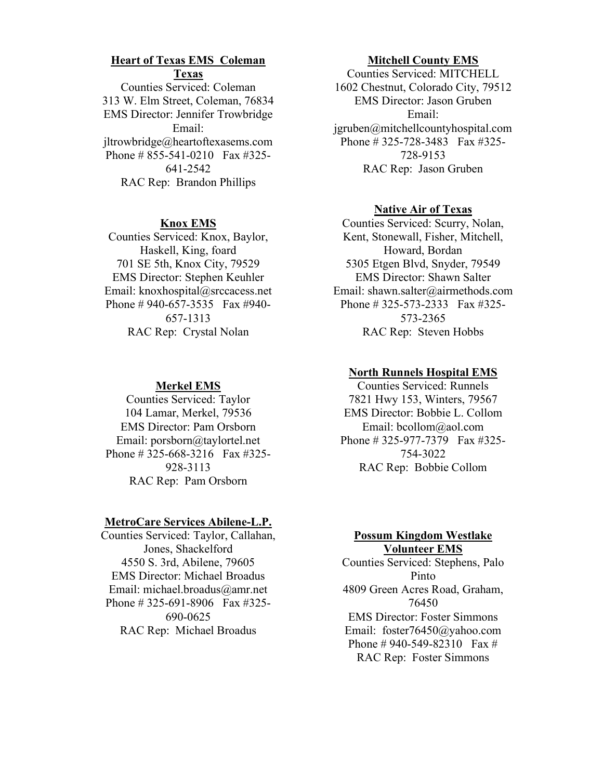### Heart of Texas EMS Coleman Texas

Counties Serviced: Coleman 313 W. Elm Street, Coleman, 76834 EMS Director: Jennifer Trowbridge Email: jltrowbridge@heartoftexasems.com Phone # 855-541-0210 Fax #325- 641-2542 RAC Rep: Brandon Phillips

#### Knox EMS

Counties Serviced: Knox, Baylor, Haskell, King, foard 701 SE 5th, Knox City, 79529 EMS Director: Stephen Keuhler Email: knoxhospital@srccacess.net Phone # 940-657-3535 Fax #940- 657-1313 RAC Rep: Crystal Nolan

### Merkel EMS

Counties Serviced: Taylor 104 Lamar, Merkel, 79536 EMS Director: Pam Orsborn Email: porsborn@taylortel.net Phone # 325-668-3216 Fax #325- 928-3113 RAC Rep: Pam Orsborn

#### MetroCare Services Abilene-L.P.

Counties Serviced: Taylor, Callahan, Jones, Shackelford 4550 S. 3rd, Abilene, 79605 EMS Director: Michael Broadus Email: michael.broadus@amr.net Phone # 325-691-8906 Fax #325- 690-0625 RAC Rep: Michael Broadus

#### Mitchell County EMS

Counties Serviced: MITCHELL 1602 Chestnut, Colorado City, 79512 EMS Director: Jason Gruben Email: jgruben@mitchellcountyhospital.com Phone # 325-728-3483 Fax #325- 728-9153 RAC Rep: Jason Gruben

#### **Native Air of Texas**

Counties Serviced: Scurry, Nolan, Kent, Stonewall, Fisher, Mitchell, Howard, Bordan 5305 Etgen Blvd, Snyder, 79549 EMS Director: Shawn Salter Email: shawn.salter@airmethods.com Phone # 325-573-2333 Fax #325- 573-2365 RAC Rep: Steven Hobbs

### North Runnels Hospital EMS

Counties Serviced: Runnels 7821 Hwy 153, Winters, 79567 EMS Director: Bobbie L. Collom Email: bcollom@aol.com Phone # 325-977-7379 Fax #325- 754-3022 RAC Rep: Bobbie Collom

### Possum Kingdom Westlake Volunteer EMS

Counties Serviced: Stephens, Palo Pinto 4809 Green Acres Road, Graham, 76450 EMS Director: Foster Simmons Email: foster76450@yahoo.com Phone # 940-549-82310 Fax # RAC Rep: Foster Simmons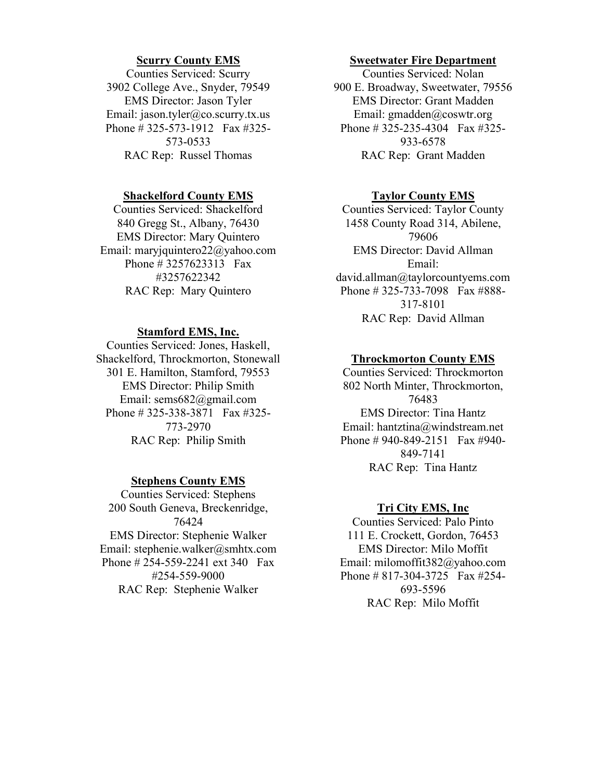#### Scurry County EMS

Counties Serviced: Scurry 3902 College Ave., Snyder, 79549 EMS Director: Jason Tyler Email: jason.tyler@co.scurry.tx.us Phone # 325-573-1912 Fax #325- 573-0533 RAC Rep: Russel Thomas

#### Shackelford County EMS

Counties Serviced: Shackelford 840 Gregg St., Albany, 76430 EMS Director: Mary Quintero Email: maryjquintero22@yahoo.com Phone # 3257623313 Fax #3257622342 RAC Rep: Mary Quintero

### Stamford EMS, Inc.

Counties Serviced: Jones, Haskell, Shackelford, Throckmorton, Stonewall 301 E. Hamilton, Stamford, 79553 EMS Director: Philip Smith Email: sems682@gmail.com Phone # 325-338-3871 Fax #325- 773-2970 RAC Rep: Philip Smith

#### Stephens County EMS

Counties Serviced: Stephens 200 South Geneva, Breckenridge, 76424 EMS Director: Stephenie Walker Email: stephenie.walker@smhtx.com Phone # 254-559-2241 ext 340 Fax #254-559-9000 RAC Rep: Stephenie Walker

#### Sweetwater Fire Department

Counties Serviced: Nolan 900 E. Broadway, Sweetwater, 79556 EMS Director: Grant Madden Email: gmadden@coswtr.org Phone # 325-235-4304 Fax #325- 933-6578 RAC Rep: Grant Madden

#### Taylor County EMS

Counties Serviced: Taylor County 1458 County Road 314, Abilene, 79606 EMS Director: David Allman Email: david.allman@taylorcountyems.com Phone # 325-733-7098 Fax #888- 317-8101 RAC Rep: David Allman

#### Throckmorton County EMS

Counties Serviced: Throckmorton 802 North Minter, Throckmorton, 76483 EMS Director: Tina Hantz Email: hantztina@windstream.net Phone # 940-849-2151 Fax #940- 849-7141 RAC Rep: Tina Hantz

#### Tri City EMS, Inc

Counties Serviced: Palo Pinto 111 E. Crockett, Gordon, 76453 EMS Director: Milo Moffit Email: milomoffit382@yahoo.com Phone # 817-304-3725 Fax #254- 693-5596 RAC Rep: Milo Moffit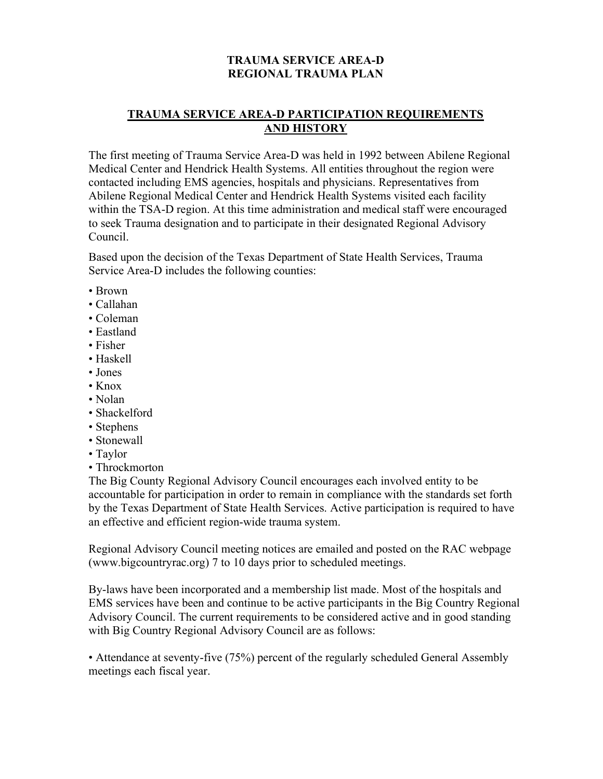## TRAUMA SERVICE AREA-D REGIONAL TRAUMA PLAN

## TRAUMA SERVICE AREA-D PARTICIPATION REQUIREMENTS AND HISTORY

The first meeting of Trauma Service Area-D was held in 1992 between Abilene Regional Medical Center and Hendrick Health Systems. All entities throughout the region were contacted including EMS agencies, hospitals and physicians. Representatives from Abilene Regional Medical Center and Hendrick Health Systems visited each facility within the TSA-D region. At this time administration and medical staff were encouraged to seek Trauma designation and to participate in their designated Regional Advisory Council.

Based upon the decision of the Texas Department of State Health Services, Trauma Service Area-D includes the following counties:

- Brown
- Callahan
- Coleman
- Eastland
- Fisher
- Haskell
- Jones
- Knox
- Nolan
- Shackelford
- Stephens
- Stonewall
- Taylor
- Throckmorton

The Big County Regional Advisory Council encourages each involved entity to be accountable for participation in order to remain in compliance with the standards set forth by the Texas Department of State Health Services. Active participation is required to have an effective and efficient region-wide trauma system.

Regional Advisory Council meeting notices are emailed and posted on the RAC webpage (www.bigcountryrac.org) 7 to 10 days prior to scheduled meetings.

By-laws have been incorporated and a membership list made. Most of the hospitals and EMS services have been and continue to be active participants in the Big Country Regional Advisory Council. The current requirements to be considered active and in good standing with Big Country Regional Advisory Council are as follows:

• Attendance at seventy-five (75%) percent of the regularly scheduled General Assembly meetings each fiscal year.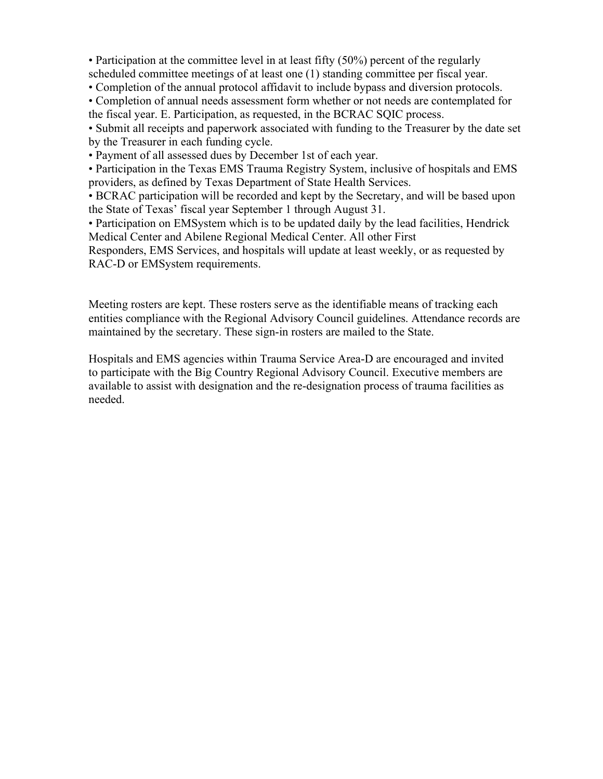• Participation at the committee level in at least fifty (50%) percent of the regularly scheduled committee meetings of at least one (1) standing committee per fiscal year.

• Completion of the annual protocol affidavit to include bypass and diversion protocols.

• Completion of annual needs assessment form whether or not needs are contemplated for the fiscal year. E. Participation, as requested, in the BCRAC SQIC process.

• Submit all receipts and paperwork associated with funding to the Treasurer by the date set by the Treasurer in each funding cycle.

• Payment of all assessed dues by December 1st of each year.

• Participation in the Texas EMS Trauma Registry System, inclusive of hospitals and EMS providers, as defined by Texas Department of State Health Services.

• BCRAC participation will be recorded and kept by the Secretary, and will be based upon the State of Texas' fiscal year September 1 through August 31.

• Participation on EMSystem which is to be updated daily by the lead facilities, Hendrick Medical Center and Abilene Regional Medical Center. All other First

Responders, EMS Services, and hospitals will update at least weekly, or as requested by RAC-D or EMSystem requirements.

Meeting rosters are kept. These rosters serve as the identifiable means of tracking each entities compliance with the Regional Advisory Council guidelines. Attendance records are maintained by the secretary. These sign-in rosters are mailed to the State.

Hospitals and EMS agencies within Trauma Service Area-D are encouraged and invited to participate with the Big Country Regional Advisory Council. Executive members are available to assist with designation and the re-designation process of trauma facilities as needed.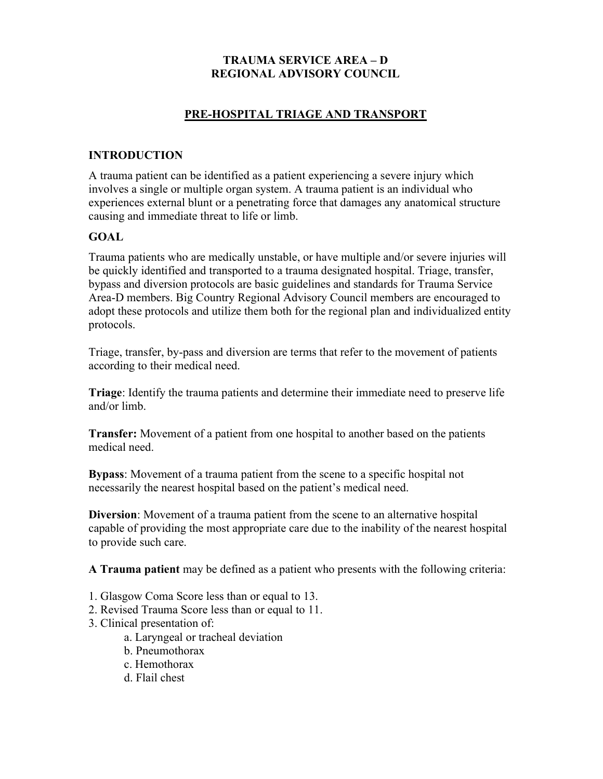## TRAUMA SERVICE AREA – D REGIONAL ADVISORY COUNCIL

## PRE-HOSPITAL TRIAGE AND TRANSPORT

### INTRODUCTION

A trauma patient can be identified as a patient experiencing a severe injury which involves a single or multiple organ system. A trauma patient is an individual who experiences external blunt or a penetrating force that damages any anatomical structure causing and immediate threat to life or limb.

### GOAL

Trauma patients who are medically unstable, or have multiple and/or severe injuries will be quickly identified and transported to a trauma designated hospital. Triage, transfer, bypass and diversion protocols are basic guidelines and standards for Trauma Service Area-D members. Big Country Regional Advisory Council members are encouraged to adopt these protocols and utilize them both for the regional plan and individualized entity protocols.

Triage, transfer, by-pass and diversion are terms that refer to the movement of patients according to their medical need.

Triage: Identify the trauma patients and determine their immediate need to preserve life and/or limb.

Transfer: Movement of a patient from one hospital to another based on the patients medical need.

Bypass: Movement of a trauma patient from the scene to a specific hospital not necessarily the nearest hospital based on the patient's medical need.

Diversion: Movement of a trauma patient from the scene to an alternative hospital capable of providing the most appropriate care due to the inability of the nearest hospital to provide such care.

A Trauma patient may be defined as a patient who presents with the following criteria:

- 1. Glasgow Coma Score less than or equal to 13.
- 2. Revised Trauma Score less than or equal to 11.
- 3. Clinical presentation of:
	- a. Laryngeal or tracheal deviation
	- b. Pneumothorax
	- c. Hemothorax
	- d. Flail chest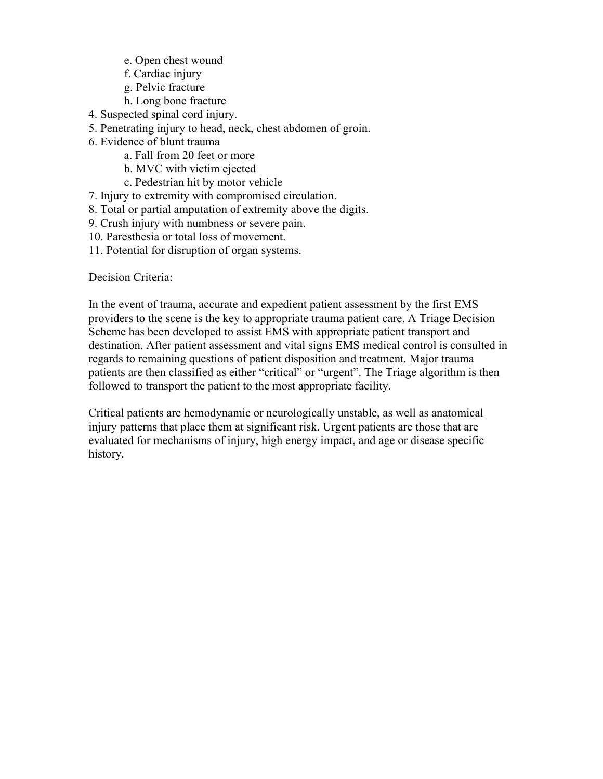- e. Open chest wound
- f. Cardiac injury
- g. Pelvic fracture
- h. Long bone fracture
- 4. Suspected spinal cord injury.
- 5. Penetrating injury to head, neck, chest abdomen of groin.
- 6. Evidence of blunt trauma
	- a. Fall from 20 feet or more
	- b. MVC with victim ejected
	- c. Pedestrian hit by motor vehicle
- 7. Injury to extremity with compromised circulation.
- 8. Total or partial amputation of extremity above the digits.
- 9. Crush injury with numbness or severe pain.
- 10. Paresthesia or total loss of movement.
- 11. Potential for disruption of organ systems.

Decision Criteria:

In the event of trauma, accurate and expedient patient assessment by the first EMS providers to the scene is the key to appropriate trauma patient care. A Triage Decision Scheme has been developed to assist EMS with appropriate patient transport and destination. After patient assessment and vital signs EMS medical control is consulted in regards to remaining questions of patient disposition and treatment. Major trauma patients are then classified as either "critical" or "urgent". The Triage algorithm is then followed to transport the patient to the most appropriate facility.

Critical patients are hemodynamic or neurologically unstable, as well as anatomical injury patterns that place them at significant risk. Urgent patients are those that are evaluated for mechanisms of injury, high energy impact, and age or disease specific history.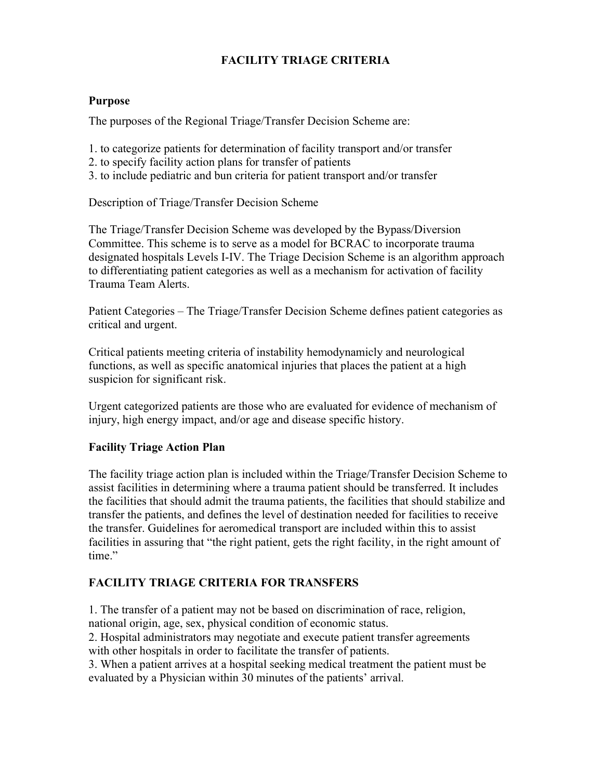# FACILITY TRIAGE CRITERIA

### Purpose

The purposes of the Regional Triage/Transfer Decision Scheme are:

- 1. to categorize patients for determination of facility transport and/or transfer
- 2. to specify facility action plans for transfer of patients
- 3. to include pediatric and bun criteria for patient transport and/or transfer

Description of Triage/Transfer Decision Scheme

The Triage/Transfer Decision Scheme was developed by the Bypass/Diversion Committee. This scheme is to serve as a model for BCRAC to incorporate trauma designated hospitals Levels I-IV. The Triage Decision Scheme is an algorithm approach to differentiating patient categories as well as a mechanism for activation of facility Trauma Team Alerts.

Patient Categories – The Triage/Transfer Decision Scheme defines patient categories as critical and urgent.

Critical patients meeting criteria of instability hemodynamicly and neurological functions, as well as specific anatomical injuries that places the patient at a high suspicion for significant risk.

Urgent categorized patients are those who are evaluated for evidence of mechanism of injury, high energy impact, and/or age and disease specific history.

## Facility Triage Action Plan

The facility triage action plan is included within the Triage/Transfer Decision Scheme to assist facilities in determining where a trauma patient should be transferred. It includes the facilities that should admit the trauma patients, the facilities that should stabilize and transfer the patients, and defines the level of destination needed for facilities to receive the transfer. Guidelines for aeromedical transport are included within this to assist facilities in assuring that "the right patient, gets the right facility, in the right amount of time."

## FACILITY TRIAGE CRITERIA FOR TRANSFERS

1. The transfer of a patient may not be based on discrimination of race, religion, national origin, age, sex, physical condition of economic status.

2. Hospital administrators may negotiate and execute patient transfer agreements with other hospitals in order to facilitate the transfer of patients.

3. When a patient arrives at a hospital seeking medical treatment the patient must be evaluated by a Physician within 30 minutes of the patients' arrival.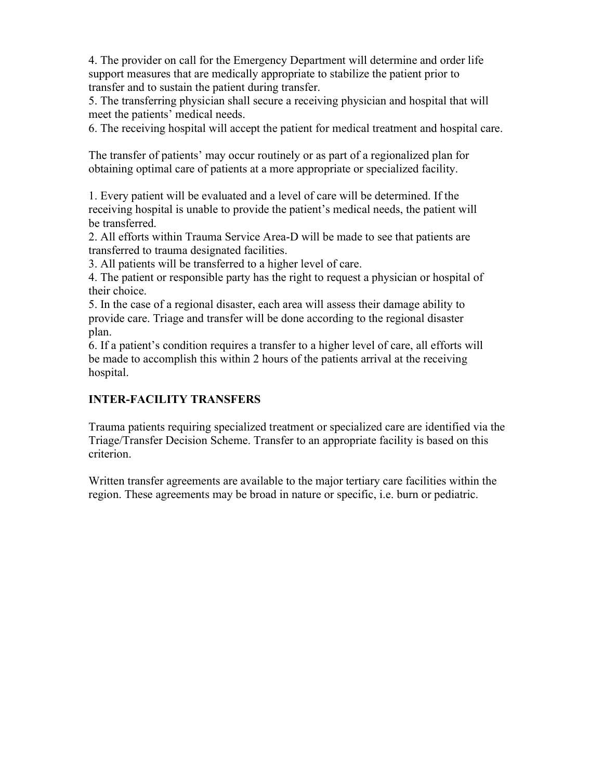4. The provider on call for the Emergency Department will determine and order life support measures that are medically appropriate to stabilize the patient prior to transfer and to sustain the patient during transfer.

5. The transferring physician shall secure a receiving physician and hospital that will meet the patients' medical needs.

6. The receiving hospital will accept the patient for medical treatment and hospital care.

The transfer of patients' may occur routinely or as part of a regionalized plan for obtaining optimal care of patients at a more appropriate or specialized facility.

1. Every patient will be evaluated and a level of care will be determined. If the receiving hospital is unable to provide the patient's medical needs, the patient will be transferred.

2. All efforts within Trauma Service Area-D will be made to see that patients are transferred to trauma designated facilities.

3. All patients will be transferred to a higher level of care.

4. The patient or responsible party has the right to request a physician or hospital of their choice.

5. In the case of a regional disaster, each area will assess their damage ability to provide care. Triage and transfer will be done according to the regional disaster plan.

6. If a patient's condition requires a transfer to a higher level of care, all efforts will be made to accomplish this within 2 hours of the patients arrival at the receiving hospital.

# INTER-FACILITY TRANSFERS

Trauma patients requiring specialized treatment or specialized care are identified via the Triage/Transfer Decision Scheme. Transfer to an appropriate facility is based on this criterion.

Written transfer agreements are available to the major tertiary care facilities within the region. These agreements may be broad in nature or specific, i.e. burn or pediatric.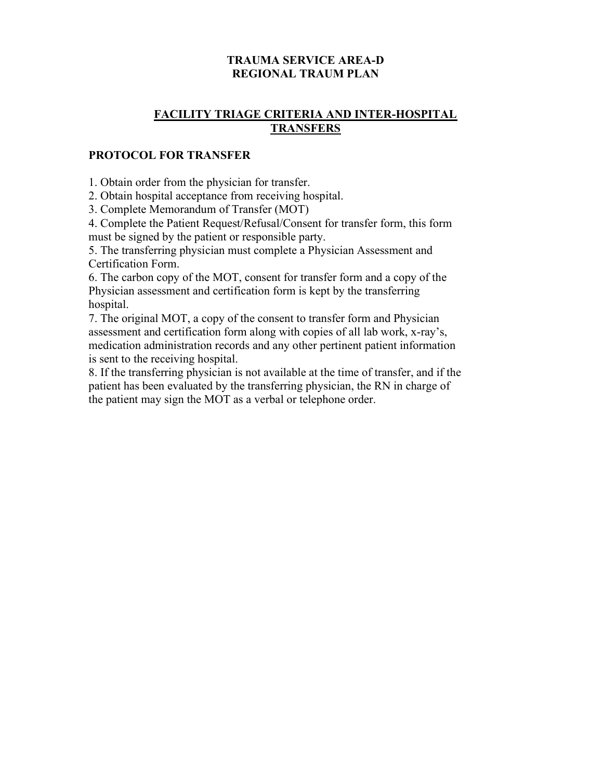## TRAUMA SERVICE AREA-D REGIONAL TRAUM PLAN

## FACILITY TRIAGE CRITERIA AND INTER-HOSPITAL **TRANSFERS**

### PROTOCOL FOR TRANSFER

1. Obtain order from the physician for transfer.

2. Obtain hospital acceptance from receiving hospital.

3. Complete Memorandum of Transfer (MOT)

4. Complete the Patient Request/Refusal/Consent for transfer form, this form must be signed by the patient or responsible party.

5. The transferring physician must complete a Physician Assessment and Certification Form.

6. The carbon copy of the MOT, consent for transfer form and a copy of the Physician assessment and certification form is kept by the transferring hospital.

7. The original MOT, a copy of the consent to transfer form and Physician assessment and certification form along with copies of all lab work, x-ray's, medication administration records and any other pertinent patient information is sent to the receiving hospital.

8. If the transferring physician is not available at the time of transfer, and if the patient has been evaluated by the transferring physician, the RN in charge of the patient may sign the MOT as a verbal or telephone order.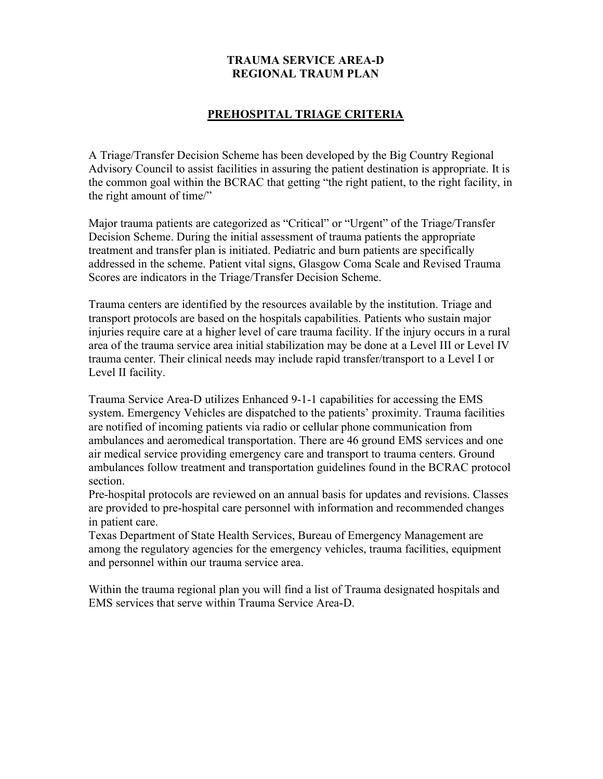## TRAUMA SERVICE AREA-D REGIONAL TRAUM PLAN

### PREHOSPITAL TRIAGE CRITERIA

A Triage/Transfer Decision Scheme has been developed by the Big Country Regional Advisory Council to assist facilities in assuring the patient destination is appropriate. It is the common goal within the BCRAC that getting "the right patient, to the right facility, in the right amount of time/"

Major trauma patients are categorized as "Critical" or "Urgent" of the Triage/Transfer Decision Scheme. During the initial assessment of trauma patients the appropriate treatment and transfer plan is initiated. Pediatric and burn patients are specifically addressed in the scheme. Patient vital signs, Glasgow Coma Scale and Revised Trauma Scores are indicators in the Triage/Transfer Decision Scheme.

Trauma centers are identified by the resources available by the institution. Triage and transport protocols are based on the hospitals capabilities. Patients who sustain major injuries require care at a higher level of care trauma facility. If the injury occurs in a rural area of the trauma service area initial stabilization may be done at a Level III or Level IV trauma center. Their clinical needs may include rapid transfer/transport to a Level I or Level II facility.

Trauma Service Area-D utilizes Enhanced 9-1-1 capabilities for accessing the EMS system. Emergency Vehicles are dispatched to the patients' proximity. Trauma facilities are notified of incoming patients via radio or cellular phone communication from ambulances and aeromedical transportation. There are 46 ground EMS services and one air medical service providing emergency care and transport to trauma centers. Ground ambulances follow treatment and transportation guidelines found in the BCRAC protocol section.

Pre-hospital protocols are reviewed on an annual basis for updates and revisions. Classes are provided to pre-hospital care personnel with information and recommended changes in patient care.

Texas Department of State Health Services, Bureau of Emergency Management are among the regulatory agencies for the emergency vehicles, trauma facilities, equipment and personnel within our trauma service area.

Within the trauma regional plan you will find a list of Trauma designated hospitals and EMS services that serve within Trauma Service Area-D.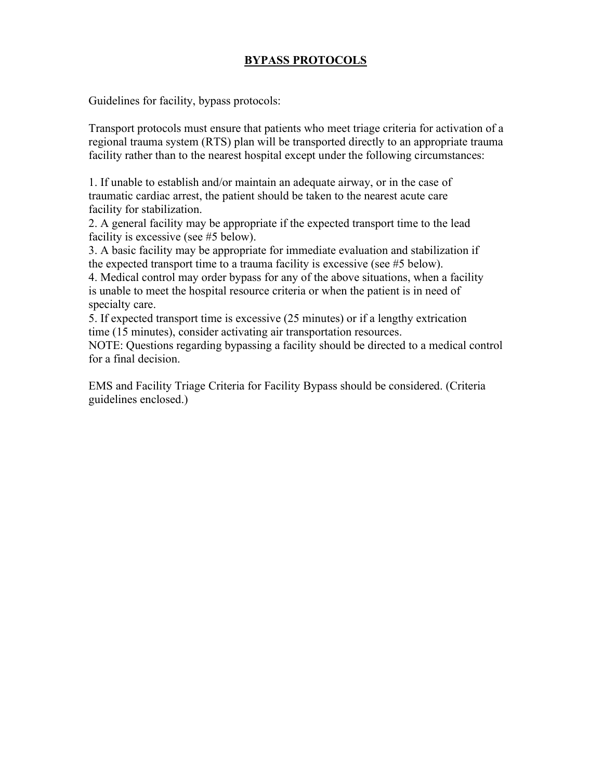## BYPASS PROTOCOLS

Guidelines for facility, bypass protocols:

Transport protocols must ensure that patients who meet triage criteria for activation of a regional trauma system (RTS) plan will be transported directly to an appropriate trauma facility rather than to the nearest hospital except under the following circumstances:

1. If unable to establish and/or maintain an adequate airway, or in the case of traumatic cardiac arrest, the patient should be taken to the nearest acute care facility for stabilization.

2. A general facility may be appropriate if the expected transport time to the lead facility is excessive (see #5 below).

3. A basic facility may be appropriate for immediate evaluation and stabilization if the expected transport time to a trauma facility is excessive (see #5 below).

4. Medical control may order bypass for any of the above situations, when a facility is unable to meet the hospital resource criteria or when the patient is in need of specialty care.

5. If expected transport time is excessive (25 minutes) or if a lengthy extrication time (15 minutes), consider activating air transportation resources.

NOTE: Questions regarding bypassing a facility should be directed to a medical control for a final decision.

EMS and Facility Triage Criteria for Facility Bypass should be considered. (Criteria guidelines enclosed.)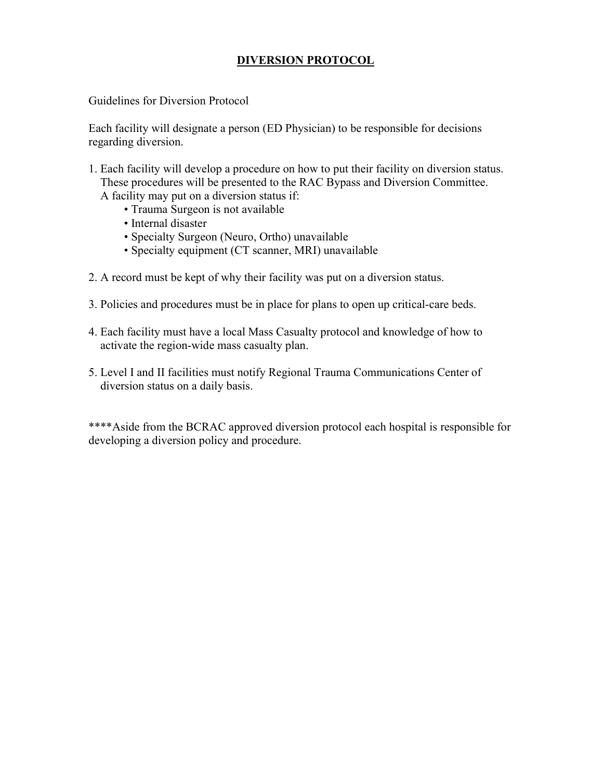## DIVERSION PROTOCOL

Guidelines for Diversion Protocol

Each facility will designate a person (ED Physician) to be responsible for decisions regarding diversion.

- 1. Each facility will develop a procedure on how to put their facility on diversion status. These procedures will be presented to the RAC Bypass and Diversion Committee.
	- A facility may put on a diversion status if:
		- Trauma Surgeon is not available
		- Internal disaster
		- Specialty Surgeon (Neuro, Ortho) unavailable
		- Specialty equipment (CT scanner, MRI) unavailable
- 2. A record must be kept of why their facility was put on a diversion status.
- 3. Policies and procedures must be in place for plans to open up critical-care beds.
- 4. Each facility must have a local Mass Casualty protocol and knowledge of how to activate the region-wide mass casualty plan.
- 5. Level I and II facilities must notify Regional Trauma Communications Center of diversion status on a daily basis.

\*\*\*\*Aside from the BCRAC approved diversion protocol each hospital is responsible for developing a diversion policy and procedure.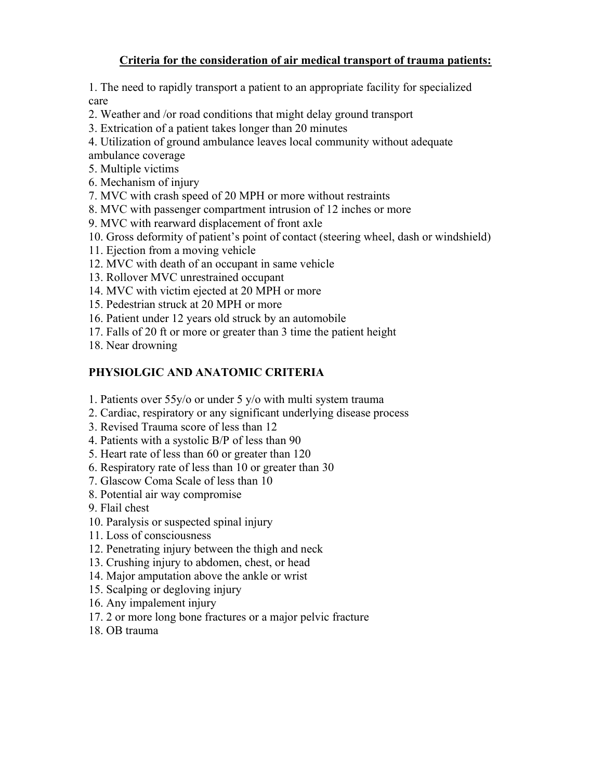# Criteria for the consideration of air medical transport of trauma patients:

1. The need to rapidly transport a patient to an appropriate facility for specialized care

- 2. Weather and /or road conditions that might delay ground transport
- 3. Extrication of a patient takes longer than 20 minutes

4. Utilization of ground ambulance leaves local community without adequate ambulance coverage

- 5. Multiple victims
- 6. Mechanism of injury
- 7. MVC with crash speed of 20 MPH or more without restraints
- 8. MVC with passenger compartment intrusion of 12 inches or more
- 9. MVC with rearward displacement of front axle
- 10. Gross deformity of patient's point of contact (steering wheel, dash or windshield)
- 11. Ejection from a moving vehicle
- 12. MVC with death of an occupant in same vehicle
- 13. Rollover MVC unrestrained occupant
- 14. MVC with victim ejected at 20 MPH or more
- 15. Pedestrian struck at 20 MPH or more
- 16. Patient under 12 years old struck by an automobile
- 17. Falls of 20 ft or more or greater than 3 time the patient height
- 18. Near drowning

## PHYSIOLGIC AND ANATOMIC CRITERIA

- 1. Patients over 55y/o or under 5 y/o with multi system trauma
- 2. Cardiac, respiratory or any significant underlying disease process
- 3. Revised Trauma score of less than 12
- 4. Patients with a systolic B/P of less than 90
- 5. Heart rate of less than 60 or greater than 120
- 6. Respiratory rate of less than 10 or greater than 30
- 7. Glascow Coma Scale of less than 10
- 8. Potential air way compromise
- 9. Flail chest
- 10. Paralysis or suspected spinal injury
- 11. Loss of consciousness
- 12. Penetrating injury between the thigh and neck
- 13. Crushing injury to abdomen, chest, or head
- 14. Major amputation above the ankle or wrist
- 15. Scalping or degloving injury
- 16. Any impalement injury
- 17. 2 or more long bone fractures or a major pelvic fracture
- 18. OB trauma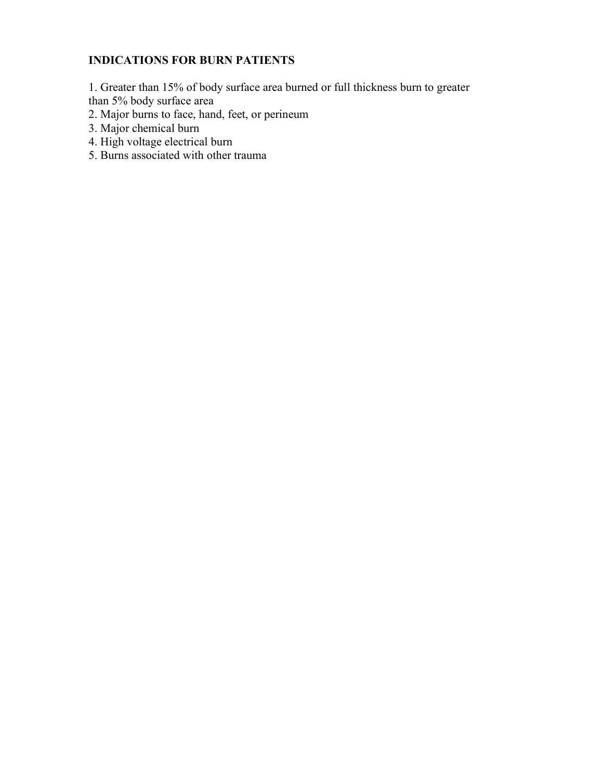# INDICATIONS FOR BURN PATIENTS

1. Greater than 15% of body surface area burned or full thickness burn to greater than 5% body surface area

- 2. Major burns to face, hand, feet, or perineum
- 3. Major chemical burn
- 4. High voltage electrical burn
- 5. Burns associated with other trauma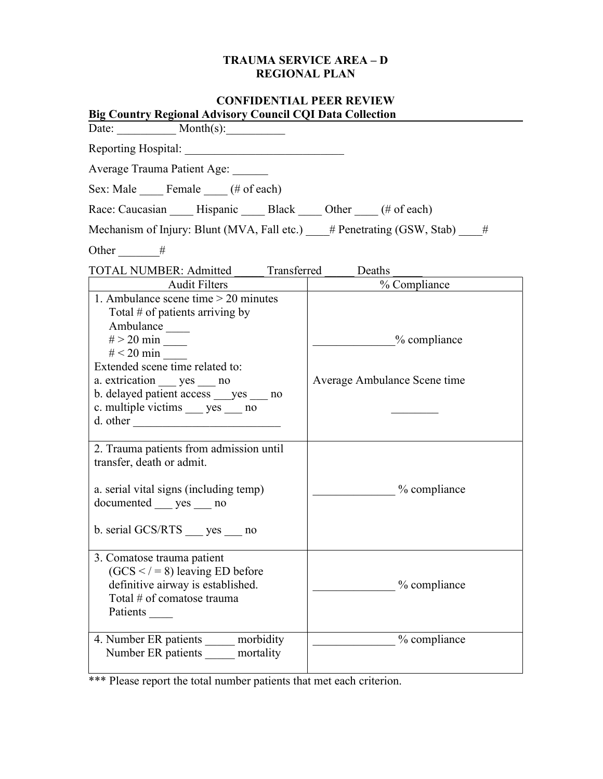## TRAUMA SERVICE AREA – D REGIONAL PLAN

| <b>CONFIDENTIAL PEER REVIEW</b>                                                                                                                                       |                              |  |  |  |
|-----------------------------------------------------------------------------------------------------------------------------------------------------------------------|------------------------------|--|--|--|
| Big Country Regional Advisory Council CQI Data Collection<br>Date: $Month(s)$ :                                                                                       |                              |  |  |  |
| Reporting Hospital:                                                                                                                                                   |                              |  |  |  |
| Average Trauma Patient Age:                                                                                                                                           |                              |  |  |  |
| Sex: Male Female (# of each)                                                                                                                                          |                              |  |  |  |
| Race: Caucasian ______ Hispanic ______ Black _____ Other _____ (# of each)                                                                                            |                              |  |  |  |
| Mechanism of Injury: Blunt (MVA, Fall etc.) $\#$ Penetrating (GSW, Stab) $\#$                                                                                         |                              |  |  |  |
|                                                                                                                                                                       |                              |  |  |  |
| Other #                                                                                                                                                               |                              |  |  |  |
| TOTAL NUMBER: Admitted _____ Transferred _____ Deaths                                                                                                                 |                              |  |  |  |
| Audit Filters                                                                                                                                                         | % Compliance                 |  |  |  |
| 1. Ambulance scene time $>$ 20 minutes<br>Total $#$ of patients arriving by<br>Ambulance                                                                              | $\%$ compliance              |  |  |  |
| Extended scene time related to:<br>a. extrication _____ yes _____ no<br>b. delayed patient access yes no<br>c. multiple victims yes no<br>d. other                    | Average Ambulance Scene time |  |  |  |
| 2. Trauma patients from admission until<br>transfer, death or admit.<br>a. serial vital signs (including temp)<br>documented yes no<br>b. serial GCS/RTS<br>yes<br>no | $\%$ compliance              |  |  |  |
| 3. Comatose trauma patient<br>$(GCS <  -8)$ leaving ED before<br>definitive airway is established.<br>Total # of comatose trauma<br>Patients                          | % compliance                 |  |  |  |
| 4. Number ER patients _____ morbidity<br>Number ER patients mortality                                                                                                 | % compliance                 |  |  |  |

\*\*\* Please report the total number patients that met each criterion.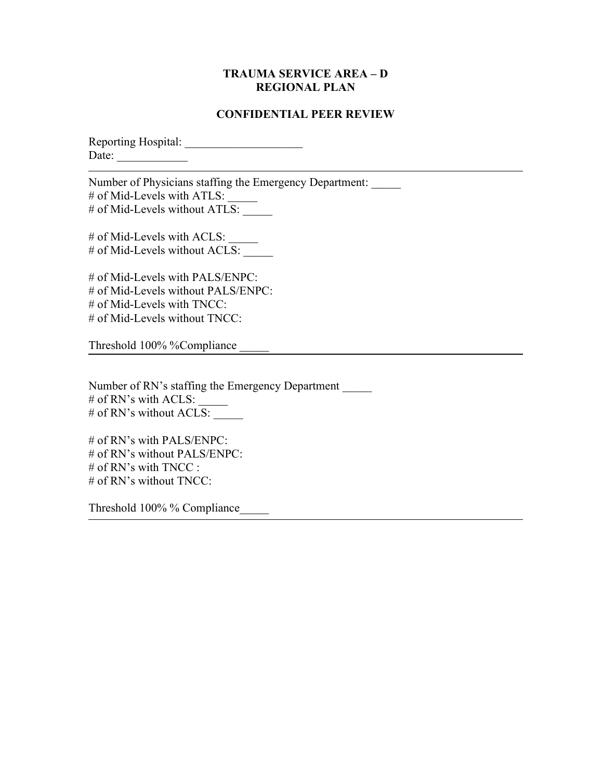### TRAUMA SERVICE AREA – D REGIONAL PLAN

### CONFIDENTIAL PEER REVIEW

Reporting Hospital: \_\_\_\_\_\_\_\_\_\_\_\_\_\_\_\_\_\_\_\_ Date:  $\frac{1}{\sqrt{1-\frac{1}{2}} \cdot \frac{1}{2}}$ 

Number of Physicians staffing the Emergency Department: # of Mid-Levels with ATLS: # of Mid-Levels without  $ATLS$ :

# of Mid-Levels with ACLS:  $\frac{1}{\sqrt{2\pi}}$ # of Mid-Levels without ACLS:

# of Mid-Levels with PALS/ENPC: # of Mid-Levels without PALS/ENPC: # of Mid-Levels with TNCC: # of Mid-Levels without TNCC:

Threshold 100% %Compliance \_\_\_\_\_

Number of RN's staffing the Emergency Department \_\_\_\_\_ # of RN's with ACLS:  $#$  of RN's without ACLS:

# of RN's with PALS/ENPC: # of RN's without PALS/ENPC: # of RN's with TNCC : # of RN's without TNCC:

Threshold 100% % Compliance\_\_\_\_\_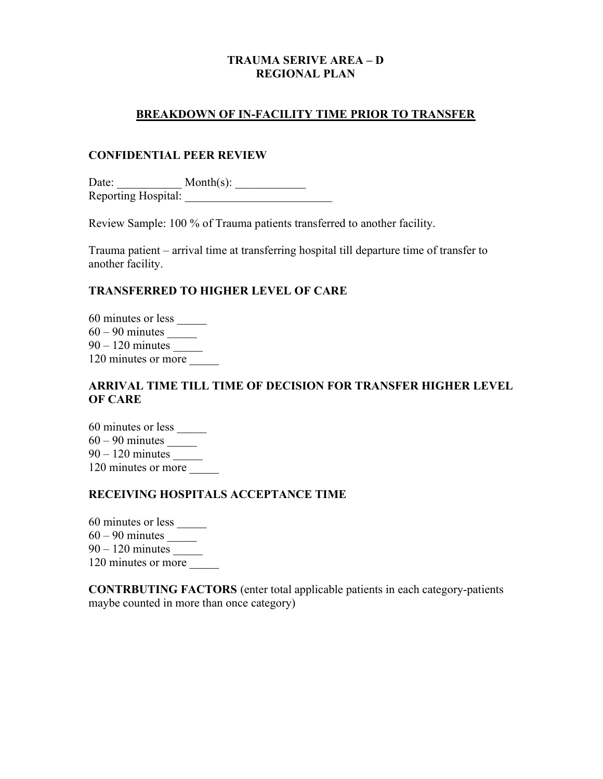### TRAUMA SERIVE AREA – D REGIONAL PLAN

### BREAKDOWN OF IN-FACILITY TIME PRIOR TO TRANSFER

### CONFIDENTIAL PEER REVIEW

Date:  $\qquad \qquad \text{Month}(s):$ Reporting Hospital: \_\_\_\_\_\_\_\_\_\_\_\_\_\_\_\_\_\_\_\_\_\_\_\_\_

Review Sample: 100 % of Trauma patients transferred to another facility.

Trauma patient – arrival time at transferring hospital till departure time of transfer to another facility.

### TRANSFERRED TO HIGHER LEVEL OF CARE

60 minutes or less \_\_\_\_\_ 60 – 90 minutes \_\_\_\_\_ 90 – 120 minutes \_\_\_\_\_ 120 minutes or more

## ARRIVAL TIME TILL TIME OF DECISION FOR TRANSFER HIGHER LEVEL OF CARE

60 minutes or less \_\_\_\_\_ 60 – 90 minutes \_\_\_\_\_ 90 – 120 minutes \_\_\_\_\_ 120 minutes or more

## RECEIVING HOSPITALS ACCEPTANCE TIME

60 minutes or less \_\_\_\_\_

60 – 90 minutes \_\_\_\_\_

90 – 120 minutes \_\_\_\_\_

120 minutes or more

CONTRBUTING FACTORS (enter total applicable patients in each category-patients maybe counted in more than once category)